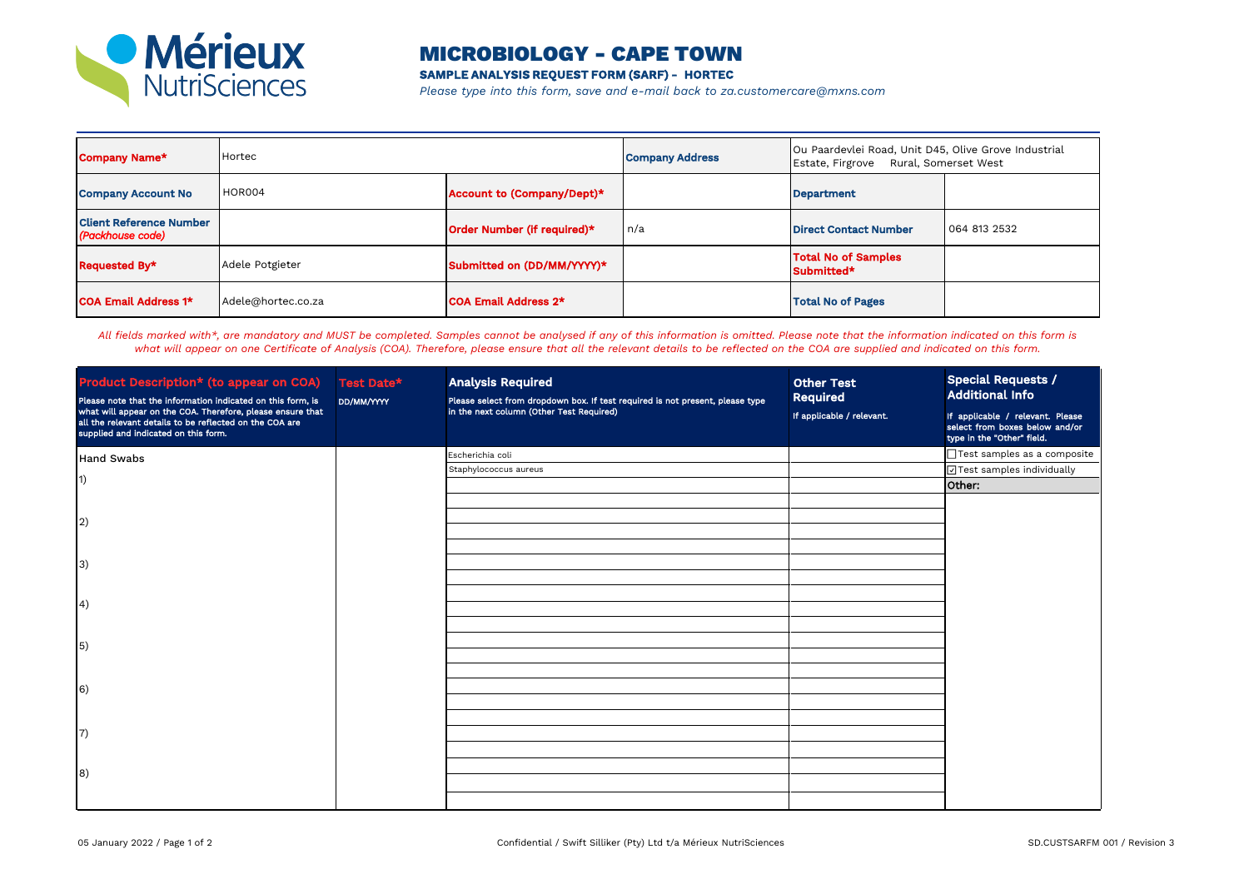

## MICROBIOLOGY - CAPE TOWN

**SAMPLE ANALYSIS REQUEST FORM (SARF) - HORTEC**

*Please type into this form, save and e-mail back to za.customercare@mxns.com*

| <b>Company Name*</b>                               | Hortec             |                             | <b>Company Address</b> | Ou Paardevlei Road, Unit D45, Olive Grove Industrial<br>Rural, Somerset West<br>Estate, Firgrove |              |
|----------------------------------------------------|--------------------|-----------------------------|------------------------|--------------------------------------------------------------------------------------------------|--------------|
| <b>Company Account No</b>                          | <b>HOR004</b>      | Account to (Company/Dept)*  |                        | <b>Department</b>                                                                                |              |
| <b>Client Reference Number</b><br>(Packhouse code) |                    | Order Number (if required)* | n/a                    | <b>Direct Contact Number</b>                                                                     | 064 813 2532 |
| Requested By*                                      | Adele Potgieter    | Submitted on (DD/MM/YYYY)*  |                        | <b>Total No of Samples</b><br>Submitted*                                                         |              |
| <b>COA Email Address 1*</b>                        | Adele@hortec.co.za | <b>COA Email Address 2*</b> |                        | <b>Total No of Pages</b>                                                                         |              |

*All fields marked with\*, are mandatory and MUST be completed. Samples cannot be analysed if any of this information is omitted. Please note that the information indicated on this form is what will appear on one Certificate of Analysis (COA). Therefore, please ensure that all the relevant details to be reflected on the COA are supplied and indicated on this form.*

| <b>Product Description* (to appear on COA)</b><br>Please note that the information indicated on this form, is<br>what will appear on the COA. Therefore, please ensure that<br>all the relevant details to be reflected on the COA are<br>supplied and indicated on this form. | Test Date*<br>DD/MM/YYYY | <b>Analysis Required</b><br>Please select from dropdown box. If test required is not present, please type<br>in the next column (Other Test Required) | <b>Other Test</b><br>Required<br>If applicable / relevant. | <b>Special Requests /</b><br><b>Additional Info</b><br>If applicable / relevant. Please<br>select from boxes below and/or<br>type in the "Other" field. |
|--------------------------------------------------------------------------------------------------------------------------------------------------------------------------------------------------------------------------------------------------------------------------------|--------------------------|-------------------------------------------------------------------------------------------------------------------------------------------------------|------------------------------------------------------------|---------------------------------------------------------------------------------------------------------------------------------------------------------|
| <b>Hand Swabs</b>                                                                                                                                                                                                                                                              |                          | Escherichia coli                                                                                                                                      |                                                            | □Test samples as a composite                                                                                                                            |
| $\vert$ 1)                                                                                                                                                                                                                                                                     |                          | Staphylococcus aureus                                                                                                                                 |                                                            | ⊡Test samples individually                                                                                                                              |
| $\left( 2\right)$                                                                                                                                                                                                                                                              |                          |                                                                                                                                                       |                                                            | Other:                                                                                                                                                  |
| 3)                                                                                                                                                                                                                                                                             |                          |                                                                                                                                                       |                                                            |                                                                                                                                                         |
| $\left(4\right)$                                                                                                                                                                                                                                                               |                          |                                                                                                                                                       |                                                            |                                                                                                                                                         |
| $\vert 5)$                                                                                                                                                                                                                                                                     |                          |                                                                                                                                                       |                                                            |                                                                                                                                                         |
| $\vert 6)$                                                                                                                                                                                                                                                                     |                          |                                                                                                                                                       |                                                            |                                                                                                                                                         |
| $\vert 7)$                                                                                                                                                                                                                                                                     |                          |                                                                                                                                                       |                                                            |                                                                                                                                                         |
| 8)                                                                                                                                                                                                                                                                             |                          |                                                                                                                                                       |                                                            |                                                                                                                                                         |
|                                                                                                                                                                                                                                                                                |                          |                                                                                                                                                       |                                                            |                                                                                                                                                         |